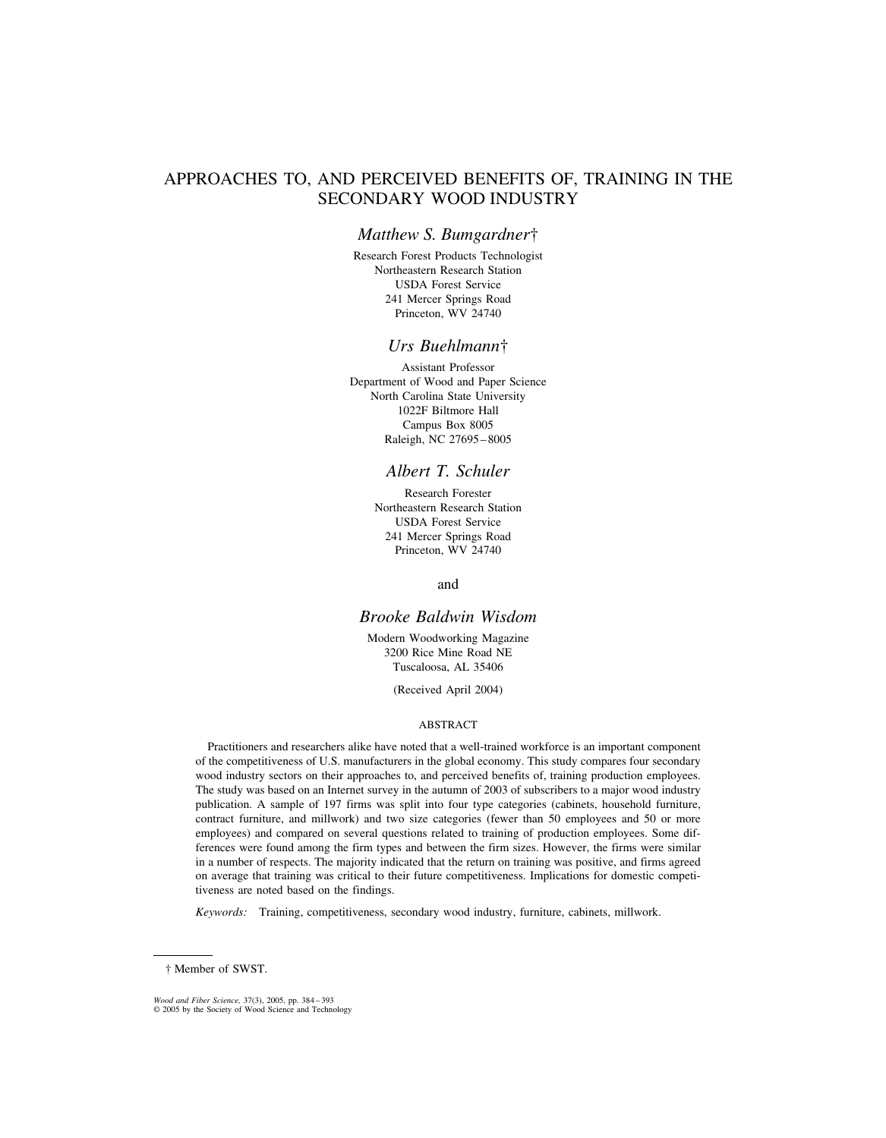# APPROACHES TO, AND PERCEIVED BENEFITS OF, TRAINING IN THE SECONDARY WOOD INDUSTRY

## *Matthew S. Bumgardner*†

Research Forest Products Technologist Northeastern Research Station USDA Forest Service 241 Mercer Springs Road Princeton, WV 24740

## *Urs Buehlmann*†

Assistant Professor Department of Wood and Paper Science North Carolina State University 1022F Biltmore Hall Campus Box 8005 Raleigh, NC 27695–8005

# *Albert T. Schuler*

Research Forester Northeastern Research Station USDA Forest Service 241 Mercer Springs Road Princeton, WV 24740

and

# *Brooke Baldwin Wisdom*

Modern Woodworking Magazine 3200 Rice Mine Road NE Tuscaloosa, AL 35406

(Received April 2004)

## ABSTRACT

Practitioners and researchers alike have noted that a well-trained workforce is an important component of the competitiveness of U.S. manufacturers in the global economy. This study compares four secondary wood industry sectors on their approaches to, and perceived benefits of, training production employees. The study was based on an Internet survey in the autumn of 2003 of subscribers to a major wood industry publication. A sample of 197 firms was split into four type categories (cabinets, household furniture, contract furniture, and millwork) and two size categories (fewer than 50 employees and 50 or more employees) and compared on several questions related to training of production employees. Some differences were found among the firm types and between the firm sizes. However, the firms were similar in a number of respects. The majority indicated that the return on training was positive, and firms agreed on average that training was critical to their future competitiveness. Implications for domestic competitiveness are noted based on the findings.

*Keywords:* Training, competitiveness, secondary wood industry, furniture, cabinets, millwork.

<sup>†</sup> Member of SWST.

*Wood and Fiber Science,* 37(3), 2005, pp. 384 – 393 © 2005 by the Society of Wood Science and Technology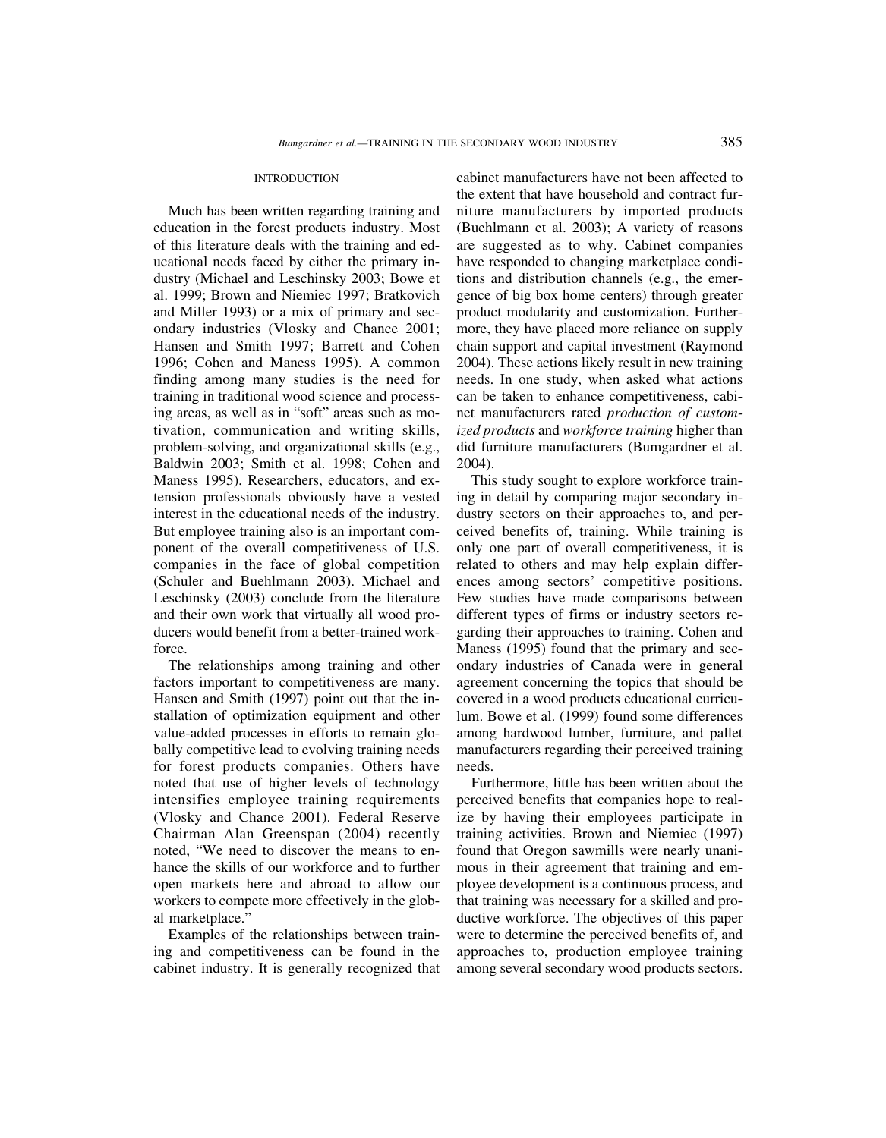#### **INTRODUCTION**

Much has been written regarding training and education in the forest products industry. Most of this literature deals with the training and educational needs faced by either the primary industry (Michael and Leschinsky 2003; Bowe et al. 1999; Brown and Niemiec 1997; Bratkovich and Miller 1993) or a mix of primary and secondary industries (Vlosky and Chance 2001; Hansen and Smith 1997; Barrett and Cohen 1996; Cohen and Maness 1995). A common finding among many studies is the need for training in traditional wood science and processing areas, as well as in "soft" areas such as motivation, communication and writing skills, problem-solving, and organizational skills (e.g., Baldwin 2003; Smith et al. 1998; Cohen and Maness 1995). Researchers, educators, and extension professionals obviously have a vested interest in the educational needs of the industry. But employee training also is an important component of the overall competitiveness of U.S. companies in the face of global competition (Schuler and Buehlmann 2003). Michael and Leschinsky (2003) conclude from the literature and their own work that virtually all wood producers would benefit from a better-trained workforce.

The relationships among training and other factors important to competitiveness are many. Hansen and Smith (1997) point out that the installation of optimization equipment and other value-added processes in efforts to remain globally competitive lead to evolving training needs for forest products companies. Others have noted that use of higher levels of technology intensifies employee training requirements (Vlosky and Chance 2001). Federal Reserve Chairman Alan Greenspan (2004) recently noted, "We need to discover the means to enhance the skills of our workforce and to further open markets here and abroad to allow our workers to compete more effectively in the global marketplace."

Examples of the relationships between training and competitiveness can be found in the cabinet industry. It is generally recognized that cabinet manufacturers have not been affected to the extent that have household and contract furniture manufacturers by imported products (Buehlmann et al. 2003); A variety of reasons are suggested as to why. Cabinet companies have responded to changing marketplace conditions and distribution channels (e.g., the emergence of big box home centers) through greater product modularity and customization. Furthermore, they have placed more reliance on supply chain support and capital investment (Raymond 2004). These actions likely result in new training needs. In one study, when asked what actions can be taken to enhance competitiveness, cabinet manufacturers rated *production of customized products* and *workforce training* higher than did furniture manufacturers (Bumgardner et al. 2004).

This study sought to explore workforce training in detail by comparing major secondary industry sectors on their approaches to, and perceived benefits of, training. While training is only one part of overall competitiveness, it is related to others and may help explain differences among sectors' competitive positions. Few studies have made comparisons between different types of firms or industry sectors regarding their approaches to training. Cohen and Maness (1995) found that the primary and secondary industries of Canada were in general agreement concerning the topics that should be covered in a wood products educational curriculum. Bowe et al. (1999) found some differences among hardwood lumber, furniture, and pallet manufacturers regarding their perceived training needs.

Furthermore, little has been written about the perceived benefits that companies hope to realize by having their employees participate in training activities. Brown and Niemiec (1997) found that Oregon sawmills were nearly unanimous in their agreement that training and employee development is a continuous process, and that training was necessary for a skilled and productive workforce. The objectives of this paper were to determine the perceived benefits of, and approaches to, production employee training among several secondary wood products sectors.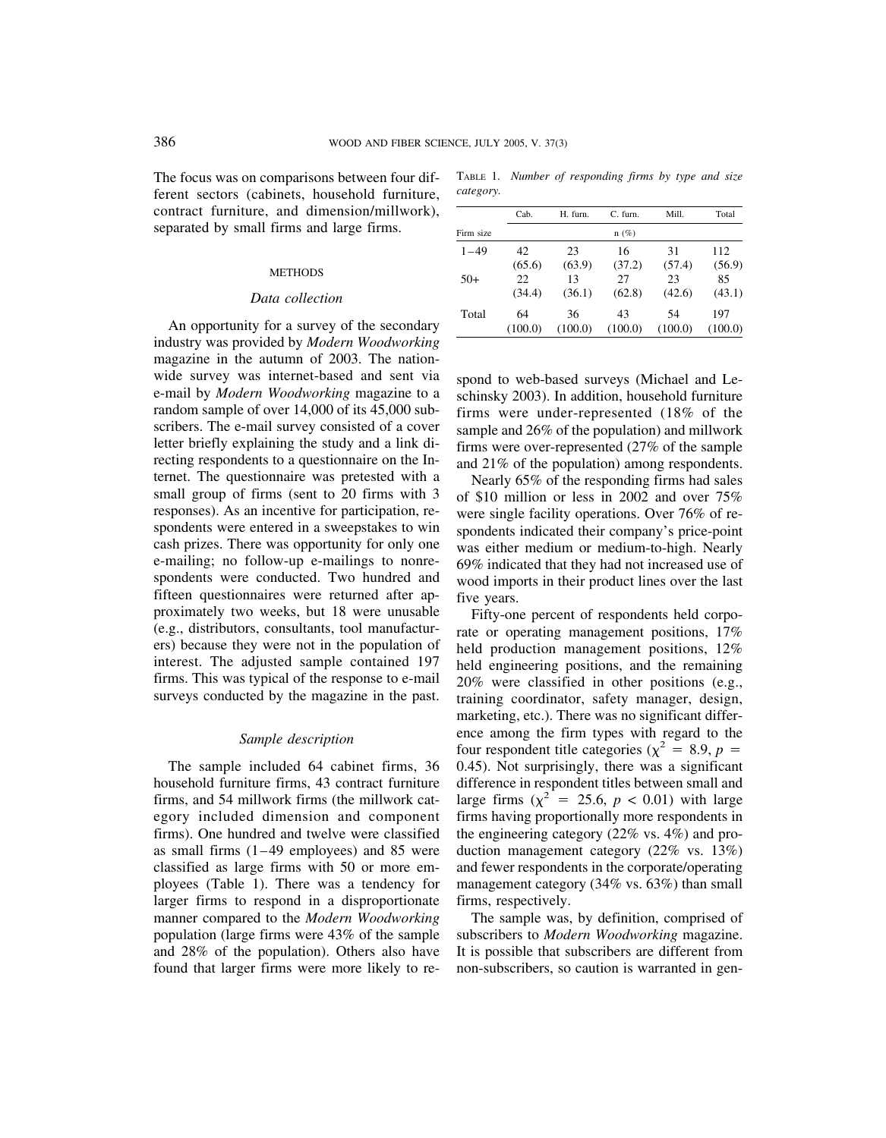The focus was on comparisons between four different sectors (cabinets, household furniture, contract furniture, and dimension/millwork), separated by small firms and large firms.

#### **METHODS**

### *Data collection*

An opportunity for a survey of the secondary industry was provided by *Modern Woodworking* magazine in the autumn of 2003. The nationwide survey was internet-based and sent via e-mail by *Modern Woodworking* magazine to a random sample of over 14,000 of its 45,000 subscribers. The e-mail survey consisted of a cover letter briefly explaining the study and a link directing respondents to a questionnaire on the Internet. The questionnaire was pretested with a small group of firms (sent to 20 firms with 3 responses). As an incentive for participation, respondents were entered in a sweepstakes to win cash prizes. There was opportunity for only one e-mailing; no follow-up e-mailings to nonrespondents were conducted. Two hundred and fifteen questionnaires were returned after approximately two weeks, but 18 were unusable (e.g., distributors, consultants, tool manufacturers) because they were not in the population of interest. The adjusted sample contained 197 firms. This was typical of the response to e-mail surveys conducted by the magazine in the past.

### *Sample description*

The sample included 64 cabinet firms, 36 household furniture firms, 43 contract furniture firms, and 54 millwork firms (the millwork category included dimension and component firms). One hundred and twelve were classified as small firms (1–49 employees) and 85 were classified as large firms with 50 or more employees (Table 1). There was a tendency for larger firms to respond in a disproportionate manner compared to the *Modern Woodworking* population (large firms were 43% of the sample and 28% of the population). Others also have found that larger firms were more likely to re-

TABLE 1. *Number of responding firms by type and size category.*

|           | Cab.    | H. furn. | $C.$ furn. | Mill.   | Total   |
|-----------|---------|----------|------------|---------|---------|
| Firm size |         |          | $n(\%)$    |         |         |
| $1 - 49$  | 42      | 23       | 16         | 31      | 112     |
|           | (65.6)  | (63.9)   | (37.2)     | (57.4)  | (56.9)  |
| $50+$     | 22.     | 13       | 27         | 23      | 85      |
|           | (34.4)  | (36.1)   | (62.8)     | (42.6)  | (43.1)  |
| Total     | 64      | 36       | 43         | 54      | 197     |
|           | (100.0) | (100.0)  | (100.0)    | (100.0) | (100.0) |

spond to web-based surveys (Michael and Leschinsky 2003). In addition, household furniture firms were under-represented (18% of the sample and 26% of the population) and millwork firms were over-represented (27% of the sample and 21% of the population) among respondents.

Nearly 65% of the responding firms had sales of \$10 million or less in 2002 and over 75% were single facility operations. Over 76% of respondents indicated their company's price-point was either medium or medium-to-high. Nearly 69% indicated that they had not increased use of wood imports in their product lines over the last five years.

Fifty-one percent of respondents held corporate or operating management positions, 17% held production management positions, 12% held engineering positions, and the remaining 20% were classified in other positions (e.g., training coordinator, safety manager, design, marketing, etc.). There was no significant difference among the firm types with regard to the four respondent title categories ( $\chi^2 = 8.9$ , *p* = 0.45). Not surprisingly, there was a significant difference in respondent titles between small and large firms  $(\chi^2 = 25.6, p < 0.01)$  with large firms having proportionally more respondents in the engineering category (22% vs. 4%) and production management category (22% vs. 13%) and fewer respondents in the corporate/operating management category (34% vs. 63%) than small firms, respectively.

The sample was, by definition, comprised of subscribers to *Modern Woodworking* magazine. It is possible that subscribers are different from non-subscribers, so caution is warranted in gen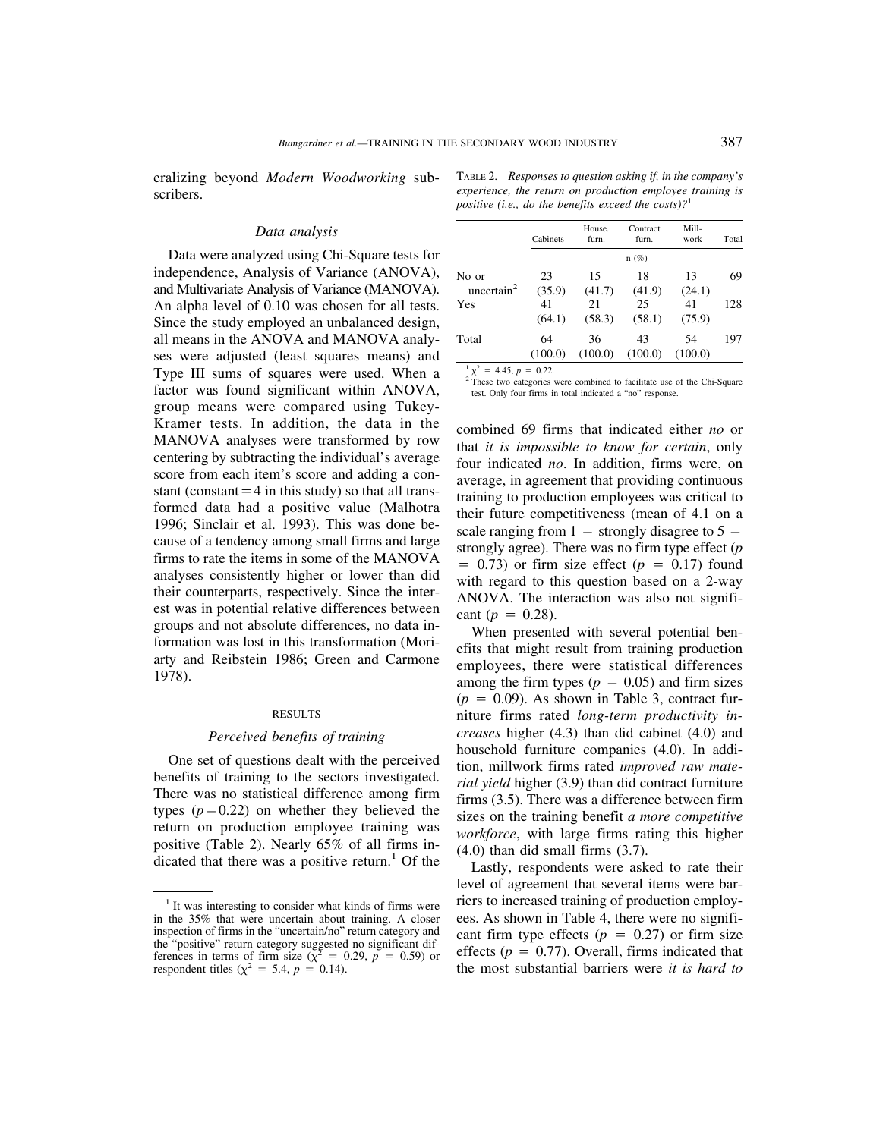eralizing beyond *Modern Woodworking* subscribers.

## *Data analysis*

Data were analyzed using Chi-Square tests for independence, Analysis of Variance (ANOVA), and Multivariate Analysis of Variance (MANOVA). An alpha level of 0.10 was chosen for all tests. Since the study employed an unbalanced design, all means in the ANOVA and MANOVA analyses were adjusted (least squares means) and Type III sums of squares were used. When a factor was found significant within ANOVA, group means were compared using Tukey-Kramer tests. In addition, the data in the MANOVA analyses were transformed by row centering by subtracting the individual's average score from each item's score and adding a constant (constant  $=$  4 in this study) so that all transformed data had a positive value (Malhotra 1996; Sinclair et al. 1993). This was done because of a tendency among small firms and large firms to rate the items in some of the MANOVA analyses consistently higher or lower than did their counterparts, respectively. Since the interest was in potential relative differences between groups and not absolute differences, no data information was lost in this transformation (Moriarty and Reibstein 1986; Green and Carmone 1978).

#### RESULTS

### *Perceived benefits of training*

One set of questions dealt with the perceived benefits of training to the sectors investigated. There was no statistical difference among firm types  $(p=0.22)$  on whether they believed the return on production employee training was positive (Table 2). Nearly 65% of all firms indicated that there was a positive return.<sup>1</sup> Of the

TABLE 2. *Responses to question asking if, in the company's experience, the return on production employee training is positive (i.e., do the benefits exceed the costs)?*<sup>1</sup>

|                        | Cabinets      | House.<br>furn. | Contract<br>furn. | Mill-<br>work | Total |
|------------------------|---------------|-----------------|-------------------|---------------|-------|
|                        |               |                 | $n(\%)$           |               |       |
| No or<br>uncertain $2$ | 23<br>(35.9)  | 15<br>(41.7)    | 18<br>(41.9)      | 13<br>(24.1)  | 69    |
| Yes                    | 41<br>(64.1)  | 21<br>(58.3)    | 25<br>(58.1)      | 41<br>(75.9)  | 128   |
| Total                  | 64<br>(100.0) | 36<br>(100.0)   | 43<br>(100.0)     | 54<br>(100.0) | 197   |

 $\frac{1}{2} \chi^2 = 4.45$ ,  $p = 0.22$ .<br><sup>2</sup> These two categories were combined to facilitate use of the Chi-Square test. Only four firms in total indicated a "no" response.

combined 69 firms that indicated either *no* or that *it is impossible to know for certain*, only four indicated *no*. In addition, firms were, on average, in agreement that providing continuous training to production employees was critical to their future competitiveness (mean of 4.1 on a scale ranging from  $1 =$  strongly disagree to  $5 =$ strongly agree). There was no firm type effect (*p*  $= 0.73$ ) or firm size effect ( $p = 0.17$ ) found with regard to this question based on a 2-way ANOVA. The interaction was also not significant ( $p = 0.28$ ).

When presented with several potential benefits that might result from training production employees, there were statistical differences among the firm types  $(p = 0.05)$  and firm sizes  $(p = 0.09)$ . As shown in Table 3, contract furniture firms rated *long-term productivity increases* higher (4.3) than did cabinet (4.0) and household furniture companies (4.0). In addition, millwork firms rated *improved raw material yield* higher (3.9) than did contract furniture firms (3.5). There was a difference between firm sizes on the training benefit *a more competitive workforce*, with large firms rating this higher  $(4.0)$  than did small firms  $(3.7)$ .

Lastly, respondents were asked to rate their level of agreement that several items were barriers to increased training of production employees. As shown in Table 4, there were no significant firm type effects  $(p = 0.27)$  or firm size effects  $(p = 0.77)$ . Overall, firms indicated that the most substantial barriers were *it is hard to*

 $<sup>1</sup>$  It was interesting to consider what kinds of firms were</sup> in the 35% that were uncertain about training. A closer inspection of firms in the "uncertain/no" return category and the "positive" return category suggested no significant differences in terms of firm size ( $\tilde{\chi}^2$  = 0.29,  $\tilde{p}$  = 0.59) or respondent titles ( $\chi^2 = 5.4$ ,  $p = 0.14$ ).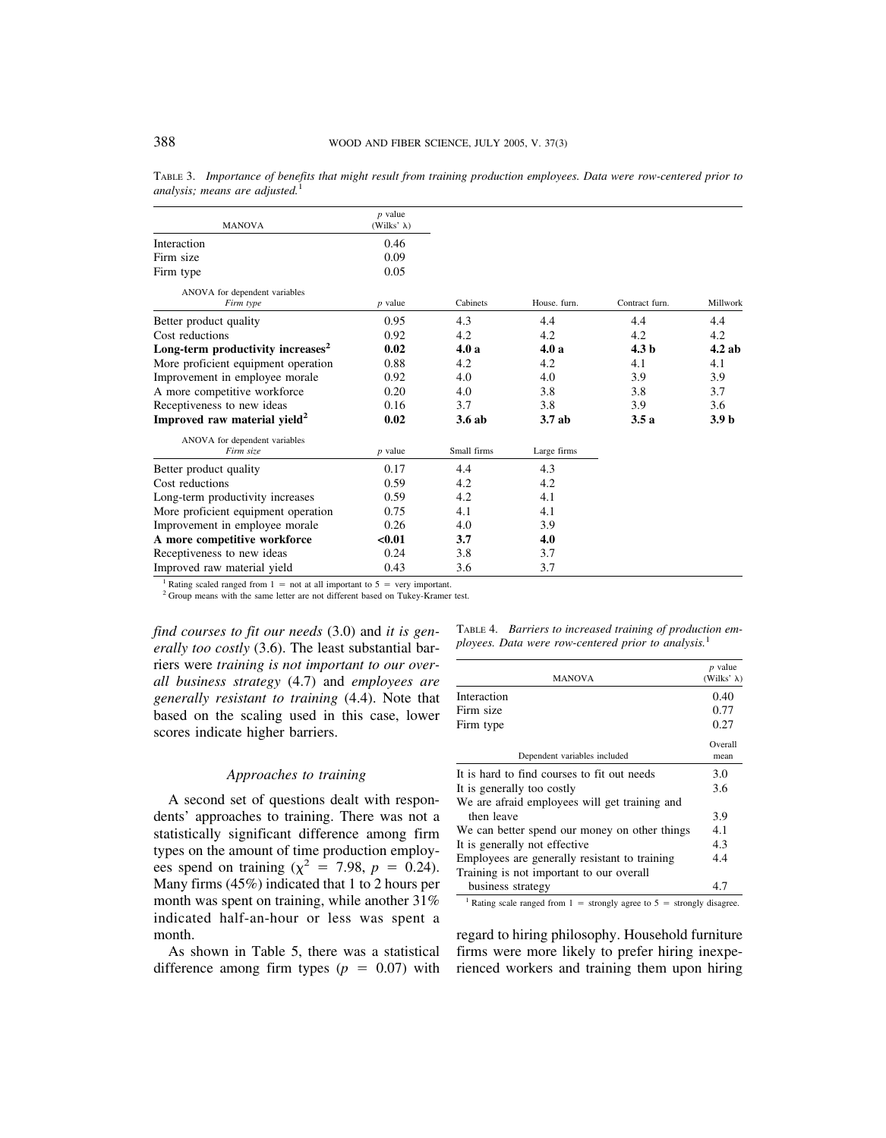| <b>MANOVA</b>                                 | $p$ value<br>(Wilks' $\lambda$ ) |             |              |                  |                  |
|-----------------------------------------------|----------------------------------|-------------|--------------|------------------|------------------|
| Interaction                                   | 0.46                             |             |              |                  |                  |
| Firm size                                     | 0.09                             |             |              |                  |                  |
| Firm type                                     | 0.05                             |             |              |                  |                  |
| ANOVA for dependent variables                 |                                  |             |              |                  |                  |
| Firm type                                     | $p$ value                        | Cabinets    | House, furn. | Contract furn.   | Millwork         |
| Better product quality                        | 0.95                             | 4.3         | 4.4          | 4.4              | 4.4              |
| Cost reductions                               | 0.92                             | 4.2         | 4.2          | 4.2              | 4.2              |
| Long-term productivity increases <sup>2</sup> | 0.02                             | 4.0a        | 4.0a         | 4.3 <sub>b</sub> | $4.2$ ab         |
| More proficient equipment operation           | 0.88                             | 4.2         | 4.2          | 4.1              | 4.1              |
| Improvement in employee morale                | 0.92                             | 4.0         | 4.0          | 3.9              | 3.9              |
| A more competitive workforce                  | 0.20                             | 4.0         | 3.8          | 3.8              | 3.7              |
| Receptiveness to new ideas                    | 0.16                             | 3.7         | 3.8          | 3.9              | 3.6              |
| Improved raw material yield <sup>2</sup>      | 0.02                             | 3.6ab       | 3.7ab        | 3.5a             | 3.9 <sub>b</sub> |
| ANOVA for dependent variables                 |                                  |             |              |                  |                  |
| Firm size                                     | $p$ value                        | Small firms | Large firms  |                  |                  |
| Better product quality                        | 0.17                             | 4.4         | 4.3          |                  |                  |
| Cost reductions                               | 0.59                             | 4.2         | 4.2          |                  |                  |
| Long-term productivity increases              | 0.59                             | 4.2         | 4.1          |                  |                  |
| More proficient equipment operation           | 0.75                             | 4.1         | 4.1          |                  |                  |
| Improvement in employee morale                | 0.26                             | 4.0         | 3.9          |                  |                  |
| A more competitive workforce                  | < 0.01                           | 3.7         | 4.0          |                  |                  |
| Receptiveness to new ideas                    | 0.24                             | 3.8         | 3.7          |                  |                  |
| Improved raw material yield                   | 0.43                             | 3.6         | 3.7          |                  |                  |

TABLE 3. *Importance of benefits that might result from training production employees. Data were row-centered prior to analysis; means are adjusted.*<sup>1</sup>

<sup>1</sup> Rating scaled ranged from 1 = not at all important to 5 = very important. <sup>2</sup> Group means with the same letter are not different based on Tukey-Kramer test.

*find courses to fit our needs* (3.0) and *it is generally too costly* (3.6). The least substantial barriers were *training is not important to our overall business strategy* (4.7) and *employees are generally resistant to training* (4.4). Note that based on the scaling used in this case, lower scores indicate higher barriers.

## *Approaches to training*

A second set of questions dealt with respondents' approaches to training. There was not a statistically significant difference among firm types on the amount of time production employees spend on training ( $\chi^2$  = 7.98, *p* = 0.24). Many firms (45%) indicated that 1 to 2 hours per month was spent on training, while another 31% indicated half-an-hour or less was spent a month.

As shown in Table 5, there was a statistical difference among firm types  $(p = 0.07)$  with TABLE 4. *Barriers to increased training of production employees. Data were row-centered prior to analysis.*<sup>1</sup>

| <b>MANOVA</b>                                 | $p$ value<br>(Wilks' $\lambda$ ) |
|-----------------------------------------------|----------------------------------|
| Interaction                                   | 0.40                             |
| Firm size                                     | 0.77                             |
| Firm type                                     | 0.27                             |
| Dependent variables included                  | Overall<br>mean                  |
| It is hard to find courses to fit out needs   | 3.0                              |
| It is generally too costly                    | 3.6                              |
| We are afraid employees will get training and |                                  |
| then leave                                    | 3.9                              |
| We can better spend our money on other things | 4.1                              |
| It is generally not effective.                | 4.3                              |
| Employees are generally resistant to training | 4.4                              |
| Training is not important to our overall      |                                  |
| business strategy                             | 4.7                              |

<sup>1</sup> Rating scale ranged from  $1 =$  strongly agree to  $5 =$  strongly disagree.

regard to hiring philosophy. Household furniture firms were more likely to prefer hiring inexperienced workers and training them upon hiring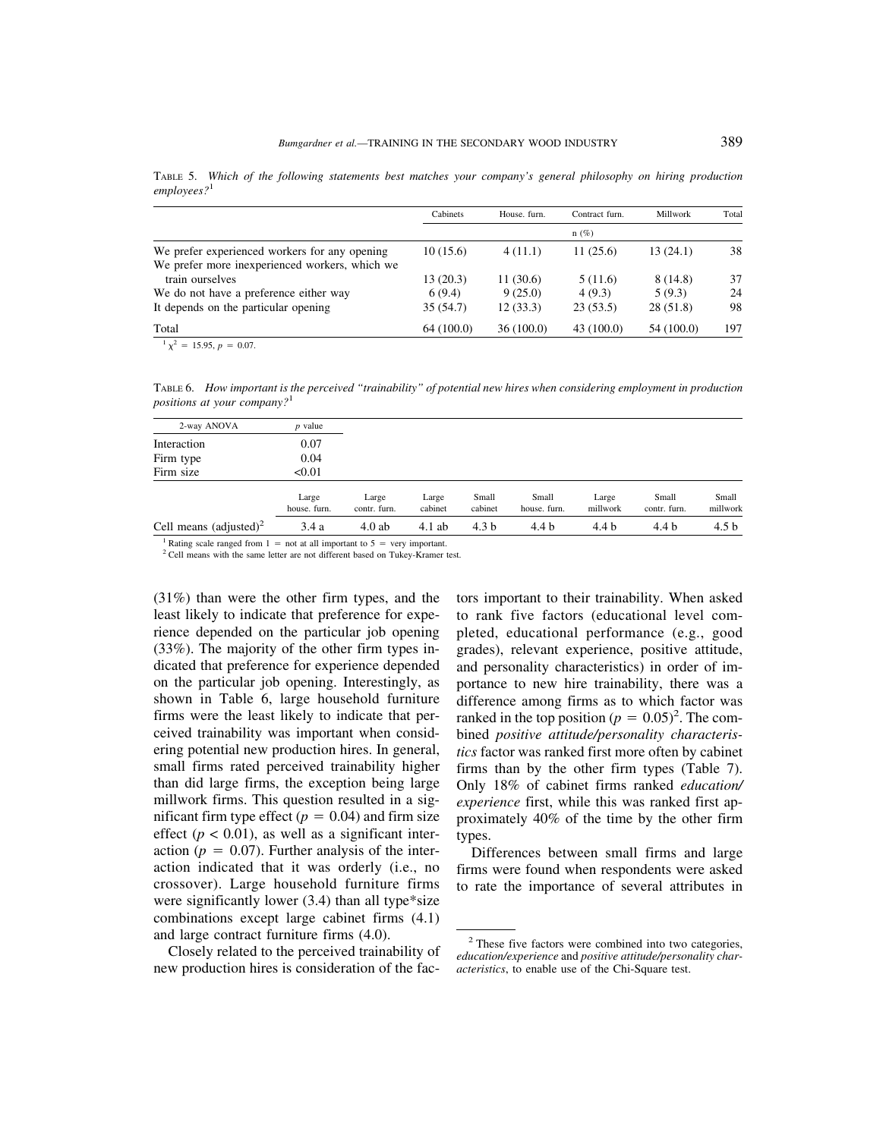Cabinets House. furn. Contract furn. Millwork Total n (%) We prefer experienced workers for any opening  $10 (15.6)$   $4 (11.1)$   $11 (25.6)$   $13 (24.1)$  38 We prefer more inexperienced workers, which we train ourselves 13 (20.3) 11 (30.6) 5 (11.6) 8 (14.8) 37 We do not have a preference either way  $6 (9.4)$   $9 (25.0)$   $4 (9.3)$   $5 (9.3)$   $24$ It depends on the particular opening 35 (54.7) 12 (33.3) 23 (53.5) 28 (51.8) 98 Total 64 (100.0) 36 (100.0) 43 (100.0) 54 (100.0) 197

TABLE 5. *Which of the following statements best matches your company's general philosophy on hiring production employees?*<sup>1</sup>

 $1 \chi^2 = 15.95, p = 0.07.$ 

TABLE 6. *How important is the perceived "trainability" of potential new hires when considering employment in production positions at your company?*<sup>1</sup>

| 2-way ANOVA                      | p value               |                       |                  |                  |                       |                   |                       |                   |
|----------------------------------|-----------------------|-----------------------|------------------|------------------|-----------------------|-------------------|-----------------------|-------------------|
| Interaction                      | 0.07                  |                       |                  |                  |                       |                   |                       |                   |
| Firm type                        | 0.04                  |                       |                  |                  |                       |                   |                       |                   |
| Firm size                        | < 0.01                |                       |                  |                  |                       |                   |                       |                   |
|                                  | Large<br>house, furn. | Large<br>contr. furn. | Large<br>cabinet | Small<br>cabinet | Small<br>house, furn. | Large<br>millwork | Small<br>contr. furn. | Small<br>millwork |
| Cell means $\text{(adjusted)}^2$ | 3.4a                  | 4.0ab                 | $4.1$ ab         | 4.3 <sub>b</sub> | 4.4 b                 | 4.4 b             | 4.4 b                 | 4.5 b             |

<sup>1</sup> Rating scale ranged from 1 = not at all important to 5 = very important. <sup>2</sup> Cell means with the same letter are not different based on Tukey-Kramer test.

(31%) than were the other firm types, and the least likely to indicate that preference for experience depended on the particular job opening (33%). The majority of the other firm types indicated that preference for experience depended on the particular job opening. Interestingly, as shown in Table 6, large household furniture firms were the least likely to indicate that perceived trainability was important when considering potential new production hires. In general, small firms rated perceived trainability higher than did large firms, the exception being large millwork firms. This question resulted in a significant firm type effect  $(p = 0.04)$  and firm size effect ( $p < 0.01$ ), as well as a significant interaction ( $p = 0.07$ ). Further analysis of the interaction indicated that it was orderly (i.e., no crossover). Large household furniture firms were significantly lower (3.4) than all type\*size combinations except large cabinet firms (4.1) and large contract furniture firms (4.0).

Closely related to the perceived trainability of new production hires is consideration of the factors important to their trainability. When asked to rank five factors (educational level completed, educational performance (e.g., good grades), relevant experience, positive attitude, and personality characteristics) in order of importance to new hire trainability, there was a difference among firms as to which factor was ranked in the top position ( $p = 0.05$ )<sup>2</sup>. The combined *positive attitude/personality characteristics* factor was ranked first more often by cabinet firms than by the other firm types (Table 7). Only 18% of cabinet firms ranked *education/ experience* first, while this was ranked first approximately 40% of the time by the other firm types.

Differences between small firms and large firms were found when respondents were asked to rate the importance of several attributes in

 $2$  These five factors were combined into two categories, *education/experience* and *positive attitude/personality characteristics*, to enable use of the Chi-Square test.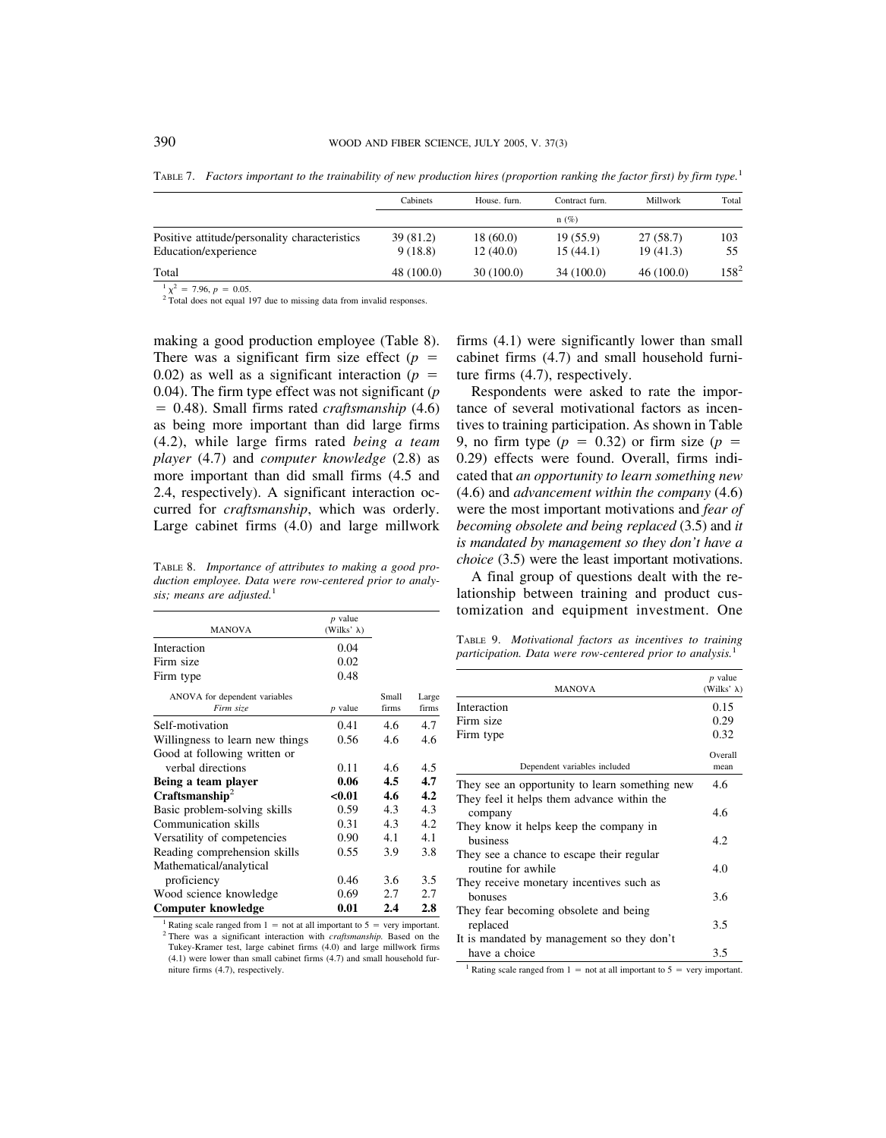|                                                                       | Cabinets             | House, furn.         | Contract furn.       | Millwork             | Total     |
|-----------------------------------------------------------------------|----------------------|----------------------|----------------------|----------------------|-----------|
|                                                                       |                      |                      | $n(\%)$              |                      |           |
| Positive attitude/personality characteristics<br>Education/experience | 39 (81.2)<br>9(18.8) | 18(60.0)<br>12(40.0) | 19(55.9)<br>15(44.1) | 27(58.7)<br>19(41.3) | 103<br>55 |
| Total                                                                 | 48 (100.0)           | 30(100.0)            | 34 (100.0)           | 46(100.0)            | $158^{2}$ |

TABLE 7. *Factors important to the trainability of new production hires (proportion ranking the factor first) by firm type.*<sup>1</sup>

 $\frac{1}{2} \chi^2 = 7.96$ ,  $p = 0.05$ .<br><sup>2</sup> Total does not equal 197 due to missing data from invalid responses.

making a good production employee (Table 8). There was a significant firm size effect  $(p =$ 0.02) as well as a significant interaction  $(p =$ 0.04). The firm type effect was not significant (*p* 0.48). Small firms rated *craftsmanship* (4.6) as being more important than did large firms (4.2), while large firms rated *being a team player* (4.7) and *computer knowledge* (2.8) as more important than did small firms (4.5 and 2.4, respectively). A significant interaction occurred for *craftsmanship*, which was orderly. Large cabinet firms (4.0) and large millwork

TABLE 8. *Importance of attributes to making a good production employee. Data were row-centered prior to analysis; means are adjusted.*<sup>1</sup>

| <b>MANOVA</b>                              | $p$ value<br>(Wilks' $\lambda$ ) |                |                |
|--------------------------------------------|----------------------------------|----------------|----------------|
| Interaction                                | 0.04                             |                |                |
| Firm size                                  | 0.02                             |                |                |
| Firm type                                  | 0.48                             |                |                |
| ANOVA for dependent variables<br>Firm size | $p$ value                        | Small<br>firms | Large<br>firms |
| Self-motivation                            | 0.41                             | 4.6            | 4.7            |
| Willingness to learn new things            | 0.56                             | 4.6            | 4.6            |
| Good at following written or               |                                  |                |                |
| verbal directions                          | 0.11                             | 4.6            | 4.5            |
| Being a team player                        | 0.06                             | 4.5            | 4.7            |
| Craffsmanship <sup>2</sup>                 | < 0.01                           | 4.6            | 4.2            |
| Basic problem-solving skills               | 0.59                             | 4.3            | 4.3            |
| Communication skills                       | 0.31                             | 4.3            | 4.2            |
| Versatility of competencies                | 0.90                             | 4.1            | 4.1            |
| Reading comprehension skills               | 0.55                             | 3.9            | 3.8            |
| Mathematical/analytical                    |                                  |                |                |
| proficiency                                | 0.46                             | 3.6            | 3.5            |
| Wood science knowledge                     | 0.69                             | 2.7            | 2.7            |
| Computer knowledge                         | 0.01                             | 2.4            | 2.8            |

<sup>1</sup> Rating scale ranged from 1 = not at all important to 5 = very important. <sup>2</sup> There was a significant interaction with *craftsmanship*. Based on the Tukey-Kramer test, large cabinet firms (4.0) and large millwork firms (4.1) were lower than small cabinet firms (4.7) and small household furniture firms (4.7), respectively.

firms (4.1) were significantly lower than small cabinet firms (4.7) and small household furniture firms (4.7), respectively.

Respondents were asked to rate the importance of several motivational factors as incentives to training participation. As shown in Table 9, no firm type  $(p = 0.32)$  or firm size  $(p = 0.32)$ 0.29) effects were found. Overall, firms indicated that *an opportunity to learn something new* (4.6) and *advancement within the company* (4.6) were the most important motivations and *fear of becoming obsolete and being replaced* (3.5) and *it is mandated by management so they don't have a choice* (3.5) were the least important motivations.

A final group of questions dealt with the relationship between training and product customization and equipment investment. One

TABLE 9. *Motivational factors as incentives to training participation. Data were row-centered prior to analysis.*<sup>1</sup>

| <b>MANOVA</b>                                                   | $p$ value<br>(Wilks' $\lambda$ ) |
|-----------------------------------------------------------------|----------------------------------|
| Interaction                                                     | 0.15                             |
| Firm size                                                       | 0.29                             |
| Firm type                                                       | 0.32                             |
| Dependent variables included                                    | Overall<br>mean                  |
| They see an opportunity to learn something new                  | 4.6                              |
| They feel it helps them advance within the<br>company           | 4.6                              |
| They know it helps keep the company in<br>business              | 4.2                              |
| They see a chance to escape their regular<br>routine for awhile | 4.0                              |
| They receive monetary incentives such as<br>honuses             | 3.6                              |
| They fear becoming obsolete and being<br>replaced               | 3.5                              |
| It is mandated by management so they don't<br>have a choice     | 3.5                              |

<sup>1</sup> Rating scale ranged from 1 = not at all important to 5 = very important.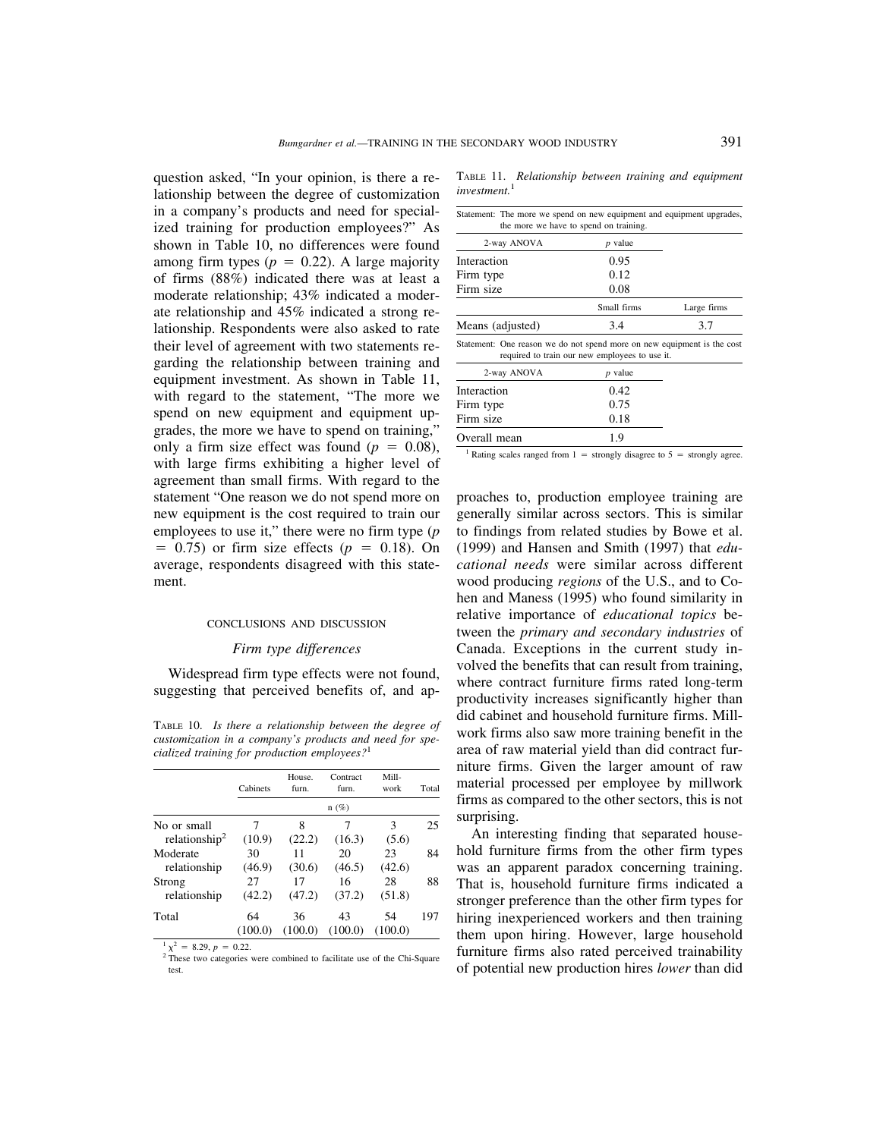question asked, "In your opinion, is there a relationship between the degree of customization in a company's products and need for specialized training for production employees?" As shown in Table 10, no differences were found among firm types ( $p = 0.22$ ). A large majority of firms (88%) indicated there was at least a moderate relationship; 43% indicated a moderate relationship and 45% indicated a strong relationship. Respondents were also asked to rate their level of agreement with two statements regarding the relationship between training and equipment investment. As shown in Table 11, with regard to the statement, "The more we spend on new equipment and equipment upgrades, the more we have to spend on training," only a firm size effect was found  $(p = 0.08)$ , with large firms exhibiting a higher level of agreement than small firms. With regard to the statement "One reason we do not spend more on new equipment is the cost required to train our employees to use it," there were no firm type (*p*  $= 0.75$ ) or firm size effects ( $p = 0.18$ ). On average, respondents disagreed with this statement.

#### CONCLUSIONS AND DISCUSSION

#### *Firm type differences*

Widespread firm type effects were not found, suggesting that perceived benefits of, and ap-

TABLE 10. *Is there a relationship between the degree of customization in a company's products and need for specialized training for production employees?*<sup>1</sup>

|                           | Cabinets | House.<br>furn. | Contract<br>furn. | Mill-<br>work | Total |
|---------------------------|----------|-----------------|-------------------|---------------|-------|
|                           |          |                 | $n(\%)$           |               |       |
| No or small               |          | 8               | 7                 | 3             | 25    |
| relationship <sup>2</sup> | (10.9)   | (22.2)          | (16.3)            | (5.6)         |       |
| Moderate                  | 30       | 11              | 20                | 23            | 84    |
| relationship              | (46.9)   | (30.6)          | (46.5)            | (42.6)        |       |
| Strong                    | 27       | 17              | 16                | 28            | 88    |
| relationship              | (42.2)   | (47.2)          | (37.2)            | (51.8)        |       |
| Total                     | 64       | 36              | 43                | 54            | 197   |
|                           |          | (100.0)         | (100.0)           | (100.0)       |       |

 $\frac{1}{2}$   $\chi^2$  = 8.29, *p* = 0.22.<br><sup>2</sup> These two categories were combined to facilitate use of the Chi-Square test.

TABLE 11. *Relationship between training and equipment investment.*<sup>1</sup>

| Statement: The more we spend on new equipment and equipment upgrades,<br>the more we have to spend on training. |                                                |             |
|-----------------------------------------------------------------------------------------------------------------|------------------------------------------------|-------------|
| 2-way ANOVA                                                                                                     | $p$ value                                      |             |
| Interaction                                                                                                     | 0.95                                           |             |
| Firm type                                                                                                       | 0.12                                           |             |
| Firm size                                                                                                       | 0.08                                           |             |
|                                                                                                                 | Small firms                                    | Large firms |
| Means (adjusted)                                                                                                | 3.4                                            | 3.7         |
| Statement: One reason we do not spend more on new equipment is the cost                                         | required to train our new employees to use it. |             |
| 2-way ANOVA                                                                                                     | $p$ value                                      |             |
| Interaction                                                                                                     | 0.42                                           |             |
| Firm type                                                                                                       | 0.75                                           |             |
| Firm size                                                                                                       | 0.18                                           |             |
| Overall mean                                                                                                    | 1.9                                            |             |

<sup>1</sup> Rating scales ranged from 1 = strongly disagree to 5 = strongly agree.

proaches to, production employee training are generally similar across sectors. This is similar to findings from related studies by Bowe et al. (1999) and Hansen and Smith (1997) that *educational needs* were similar across different wood producing *regions* of the U.S., and to Cohen and Maness (1995) who found similarity in relative importance of *educational topics* between the *primary and secondary industries* of Canada. Exceptions in the current study involved the benefits that can result from training, where contract furniture firms rated long-term productivity increases significantly higher than did cabinet and household furniture firms. Millwork firms also saw more training benefit in the area of raw material yield than did contract furniture firms. Given the larger amount of raw material processed per employee by millwork firms as compared to the other sectors, this is not surprising.

An interesting finding that separated household furniture firms from the other firm types was an apparent paradox concerning training. That is, household furniture firms indicated a stronger preference than the other firm types for hiring inexperienced workers and then training them upon hiring. However, large household furniture firms also rated perceived trainability of potential new production hires *lower* than did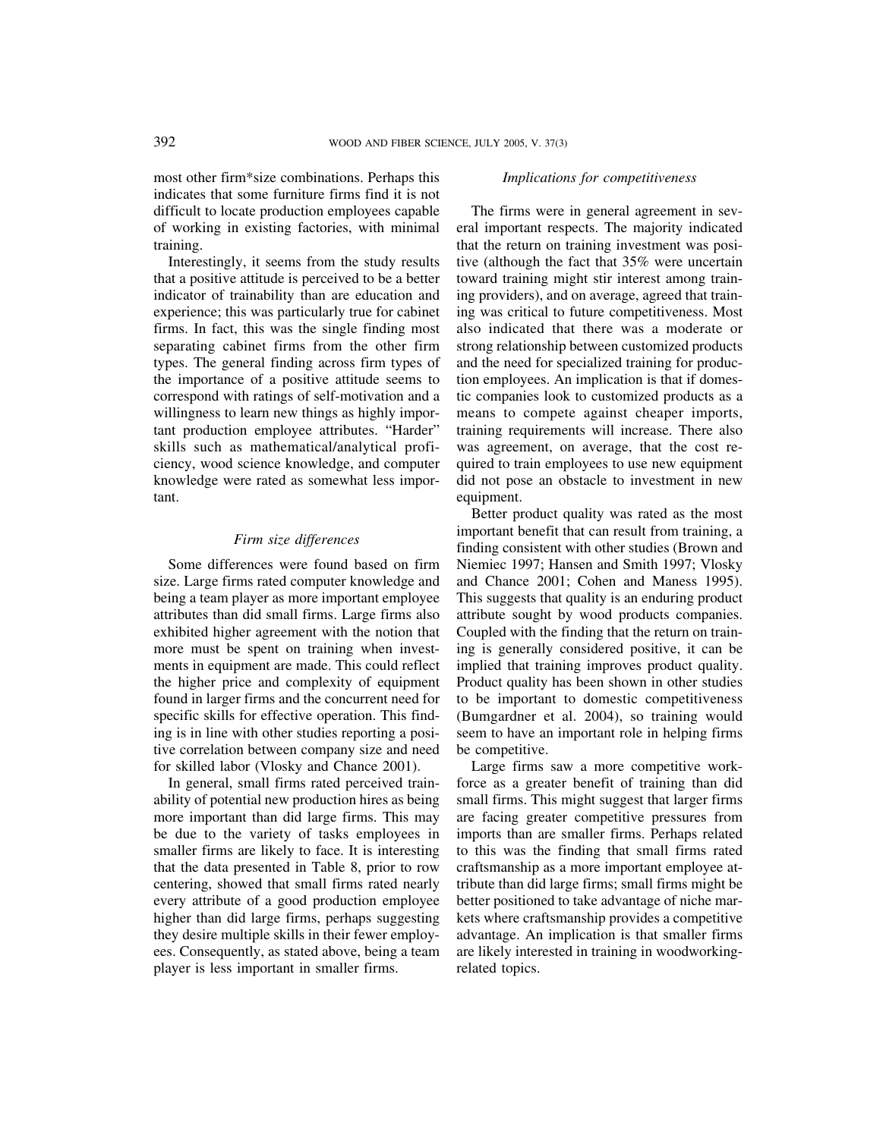most other firm\*size combinations. Perhaps this indicates that some furniture firms find it is not difficult to locate production employees capable of working in existing factories, with minimal training.

Interestingly, it seems from the study results that a positive attitude is perceived to be a better indicator of trainability than are education and experience; this was particularly true for cabinet firms. In fact, this was the single finding most separating cabinet firms from the other firm types. The general finding across firm types of the importance of a positive attitude seems to correspond with ratings of self-motivation and a willingness to learn new things as highly important production employee attributes. "Harder" skills such as mathematical/analytical proficiency, wood science knowledge, and computer knowledge were rated as somewhat less important.

## *Firm size differences*

Some differences were found based on firm size. Large firms rated computer knowledge and being a team player as more important employee attributes than did small firms. Large firms also exhibited higher agreement with the notion that more must be spent on training when investments in equipment are made. This could reflect the higher price and complexity of equipment found in larger firms and the concurrent need for specific skills for effective operation. This finding is in line with other studies reporting a positive correlation between company size and need for skilled labor (Vlosky and Chance 2001).

In general, small firms rated perceived trainability of potential new production hires as being more important than did large firms. This may be due to the variety of tasks employees in smaller firms are likely to face. It is interesting that the data presented in Table 8, prior to row centering, showed that small firms rated nearly every attribute of a good production employee higher than did large firms, perhaps suggesting they desire multiple skills in their fewer employees. Consequently, as stated above, being a team player is less important in smaller firms.

# *Implications for competitiveness*

The firms were in general agreement in several important respects. The majority indicated that the return on training investment was positive (although the fact that 35% were uncertain toward training might stir interest among training providers), and on average, agreed that training was critical to future competitiveness. Most also indicated that there was a moderate or strong relationship between customized products and the need for specialized training for production employees. An implication is that if domestic companies look to customized products as a means to compete against cheaper imports, training requirements will increase. There also was agreement, on average, that the cost required to train employees to use new equipment did not pose an obstacle to investment in new equipment.

Better product quality was rated as the most important benefit that can result from training, a finding consistent with other studies (Brown and Niemiec 1997; Hansen and Smith 1997; Vlosky and Chance 2001; Cohen and Maness 1995). This suggests that quality is an enduring product attribute sought by wood products companies. Coupled with the finding that the return on training is generally considered positive, it can be implied that training improves product quality. Product quality has been shown in other studies to be important to domestic competitiveness (Bumgardner et al. 2004), so training would seem to have an important role in helping firms be competitive.

Large firms saw a more competitive workforce as a greater benefit of training than did small firms. This might suggest that larger firms are facing greater competitive pressures from imports than are smaller firms. Perhaps related to this was the finding that small firms rated craftsmanship as a more important employee attribute than did large firms; small firms might be better positioned to take advantage of niche markets where craftsmanship provides a competitive advantage. An implication is that smaller firms are likely interested in training in woodworkingrelated topics.